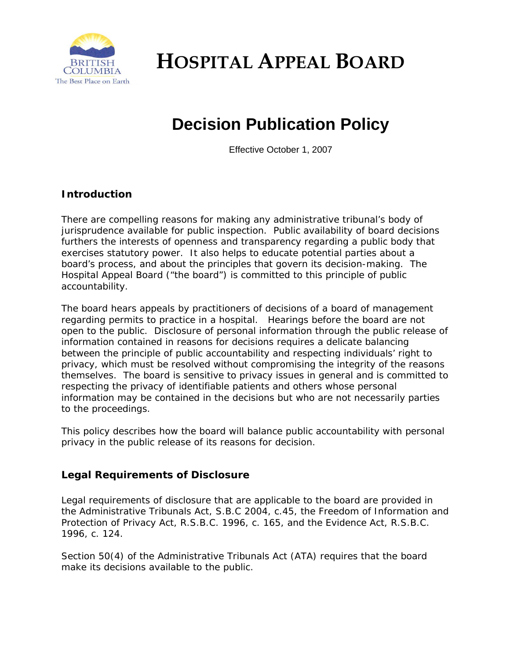

**HOSPITAL APPEAL BOARD**

## **Decision Publication Policy**

Effective October 1, 2007

## **Introduction**

There are compelling reasons for making any administrative tribunal's body of jurisprudence available for public inspection. Public availability of board decisions furthers the interests of openness and transparency regarding a public body that exercises statutory power. It also helps to educate potential parties about a board's process, and about the principles that govern its decision-making. The Hospital Appeal Board ("the board") is committed to this principle of public accountability.

The board hears appeals by practitioners of decisions of a board of management regarding permits to practice in a hospital. Hearings before the board are not open to the public. Disclosure of personal information through the public release of information contained in reasons for decisions requires a delicate balancing between the principle of public accountability and respecting individuals' right to privacy, which must be resolved without compromising the integrity of the reasons themselves. The board is sensitive to privacy issues in general and is committed to respecting the privacy of identifiable patients and others whose personal information may be contained in the decisions but who are not necessarily parties to the proceedings.

This policy describes how the board will balance public accountability with personal privacy in the public release of its reasons for decision.

## **Legal Requirements of Disclosure**

Legal requirements of disclosure that are applicable to the board are provided in the *Administrative Tribunals Act,* S.B.C 2004, c.45*,* the *Freedom of Information and Protection of Privacy Act,* R.S.B.C. 1996, c. 165, and the *Evidence Act,* R.S.B.C. 1996, c. 124.

Section 50(4) of the *Administrative Tribunals Act* (ATA) requires that the board make its decisions available to the public.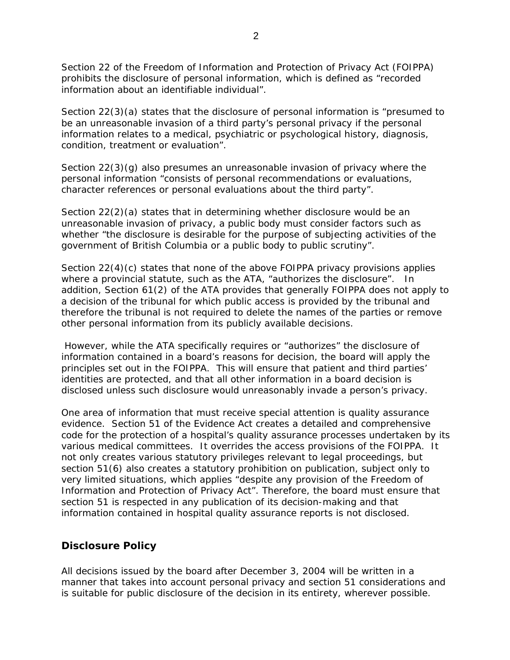Section 22 of the *Freedom of Information and Protection of Privacy Act* (FOIPPA) prohibits the disclosure of personal information, which is defined as "recorded information about an identifiable individual".

Section 22(3)(a) states that the disclosure of personal information is "presumed to be an unreasonable invasion of a third party's personal privacy if the personal information relates to a medical, psychiatric or psychological history, diagnosis, condition, treatment or evaluation".

Section 22(3)(g) also presumes an unreasonable invasion of privacy where the personal information "consists of personal recommendations or evaluations, character references or personal evaluations about the third party".

Section 22(2)(a) states that in determining whether disclosure would be an unreasonable invasion of privacy, a public body must consider factors such as whether "the disclosure is desirable for the purpose of subjecting activities of the government of British Columbia or a public body to public scrutiny".

Section 22(4)(c) states that none of the above FOIPPA privacy provisions applies where a provincial statute, such as the ATA, "authorizes the disclosure". In addition, Section 61(2) of the ATA provides that generally FOIPPA does not apply to a decision of the tribunal for which public access is provided by the tribunal and therefore the tribunal is not required to delete the names of the parties or remove other personal information from its publicly available decisions.

 However, while the ATA specifically requires or "authorizes" the disclosure of information contained in a board's reasons for decision, the board will apply the principles set out in the FOIPPA. This will ensure that patient and third parties' identities are protected, and that all other information in a board decision is disclosed unless such disclosure would unreasonably invade a person's privacy.

One area of information that must receive special attention is quality assurance evidence. Section 51 of the *Evidence Act* creates a detailed and comprehensive code for the protection of a hospital's quality assurance processes undertaken by its various medical committees. It overrides the access provisions of the FOIPPA. It not only creates various statutory privileges relevant to legal proceedings, but section 51(6) also creates a statutory prohibition on publication, subject only to very limited situations, which applies "despite any provision of the *Freedom of Information and Protection of Privacy Act*". Therefore, the board must ensure that section 51 is respected in any publication of its decision-making and that information contained in hospital quality assurance reports is not disclosed.

## **Disclosure Policy**

All decisions issued by the board after December 3, 2004 will be written in a manner that takes into account personal privacy and section 51 considerations and is suitable for public disclosure of the decision in its entirety, wherever possible.